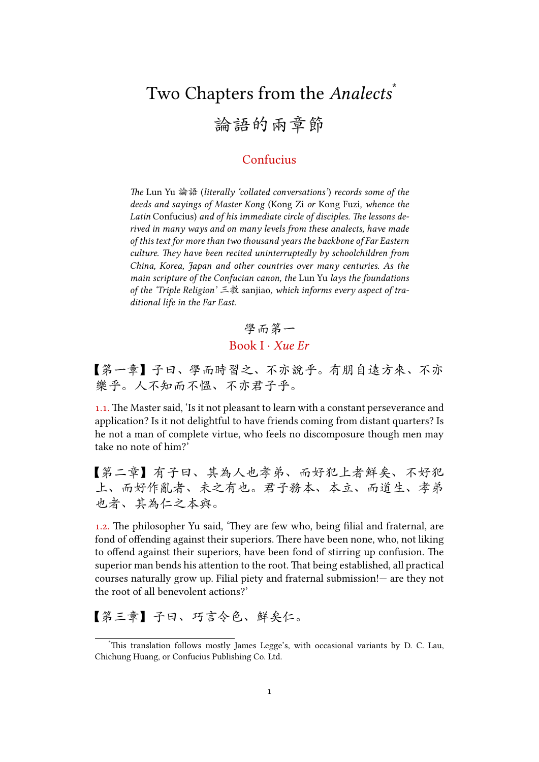## Two Chapters from the *Analects*\* 論語的兩章節

## Confucius

*e* Lun Yu 論語 (*literally 'collated conversations'*) *records some of the deeds and sayings of Master Kong* (Kong Zi *or* Kong Fuzi*, whence the* Latin Confucius) and of his immediate circle of disciples. The lessons de*rived in many ways and on many levels from these analects, have made of this text for more than two thousand years the backbone of Far Eastern culture. They have been recited uninterruptedly by schoolchildren from China, Korea, Japan and other countries over many centuries. As the main scripture of the Confucian canon, the* Lun Yu *lays the foundations of the 'Triple Religion'* 三教 sanjiao*, which informs every aspect of traditional life in the Far East.*

## 學而第一 Book I · *Xue Er*

【第一章】子曰、學而時習之、不亦說乎。有朋自遠方來、不亦 樂乎。人不知而不慍、不亦君子乎。

1.1. The Master said, 'Is it not pleasant to learn with a constant perseverance and application? Is it not delightful to have friends coming from distant quarters? Is he not a man of complete virtue, who feels no discomposure though men may take no note of him?'

【第二章】有子曰、其為人也孝弟、而好犯上者鮮矣、不好犯 上、而好作亂者、未之有也。君子務本、本立、而道生、孝弟 也者、其為仁之本與。

1.2. The philosopher Yu said, 'They are few who, being filial and fraternal, are fond of offending against their superiors. There have been none, who, not liking to offend against their superiors, have been fond of stirring up confusion. The superior man bends his attention to the root. That being established, all practical courses naturally grow up. Filial piety and fraternal submission!— are they not the root of all benevolent actions?'

【第三章】子曰、巧言令色、鮮矣仁。

This translation follows mostly James Legge's, with occasional variants by D. C. Lau, Chichung Huang, or Confucius Publishing Co. Ltd.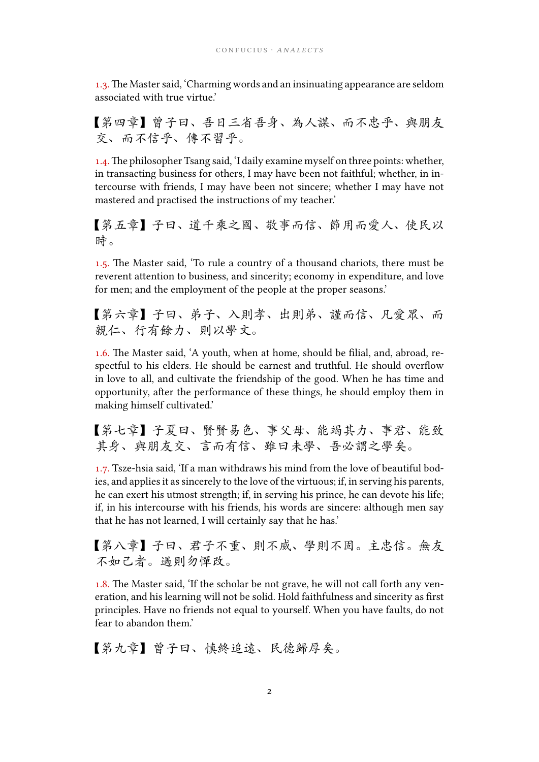1.3. The Master said, 'Charming words and an insinuating appearance are seldom associated with true virtue.'

【第四章】曾子曰、吾日三省吾身、為人謀、而不忠乎、與朋友 交、而不信乎、傳不習乎。

1.4. The philosopher Tsang said, 'I daily examine myself on three points: whether, in transacting business for others, I may have been not faithful; whether, in intercourse with friends, I may have been not sincere; whether I may have not mastered and practised the instructions of my teacher.'

【第五章】子曰、道千乘之國、敬事而信、節用而愛人、使民以 時。

1.5. The Master said, 'To rule a country of a thousand chariots, there must be reverent attention to business, and sincerity; economy in expenditure, and love for men; and the employment of the people at the proper seasons.'

【第六章】子曰、弟子、入則孝、出則弟、謹而信、凡愛眾、而 親仁、行有餘力、則以學文。

1.6. The Master said, 'A youth, when at home, should be filial, and, abroad, respectful to his elders. He should be earnest and truthful. He should overflow in love to all, and cultivate the friendship of the good. When he has time and opportunity, after the performance of these things, he should employ them in making himself cultivated.'

【第七章】子夏曰、賢賢易色、事父母、能竭其力、事君、能致 其身、與朋友交、言而有信、雖曰未學、吾必謂之學矣。

1.7. Tsze-hsia said, 'If a man withdraws his mind from the love of beautiful bodies, and applies it as sincerely to the love of the virtuous; if, in serving his parents, he can exert his utmost strength; if, in serving his prince, he can devote his life; if, in his intercourse with his friends, his words are sincere: although men say that he has not learned, I will certainly say that he has.'

【第八章】子曰、君子不重、則不威、學則不固。主忠信。無友 不如己者。過則勿憚改。

1.8. The Master said, 'If the scholar be not grave, he will not call forth any veneration, and his learning will not be solid. Hold faithfulness and sincerity as first principles. Have no friends not equal to yourself. When you have faults, do not fear to abandon them.'

【第九章】曾子曰、慎終追遠、民德歸厚矣。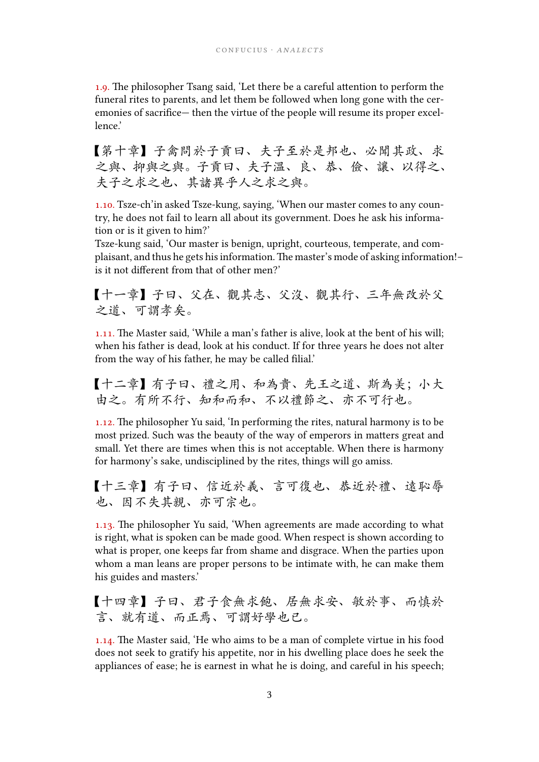1.9. The philosopher Tsang said, 'Let there be a careful attention to perform the funeral rites to parents, and let them be followed when long gone with the ceremonies of sacrifice— then the virtue of the people will resume its proper excellence.'

【第十章】子禽問於子貢曰、夫子至於是邦也、必聞其政、求 之與、抑與之與。子貢曰、夫子溫、良、恭、儉、讓、以得之、 夫子之求之也、其諸異乎人之求之與。

1.10. Tsze-ch'in asked Tsze-kung, saying, 'When our master comes to any country, he does not fail to learn all about its government. Does he ask his information or is it given to him?'

Tsze-kung said, 'Our master is benign, upright, courteous, temperate, and complaisant, and thus he gets his information. The master's mode of asking information!is it not different from that of other men?'

【十一章】子曰、父在、觀其志、父沒、觀其行、三年無改於父 之道、可謂孝矣。

1.11. The Master said, 'While a man's father is alive, look at the bent of his will; when his father is dead, look at his conduct. If for three years he does not alter from the way of his father, he may be called filial.'

【十二章】有子曰、禮之用、和為貴、先王之道、斯為美;小大 由之。有所不行、知和而和、不以禮節之、亦不可行也。

 $1.12$ . The philosopher Yu said, 'In performing the rites, natural harmony is to be most prized. Such was the beauty of the way of emperors in matters great and small. Yet there are times when this is not acceptable. When there is harmony for harmony's sake, undisciplined by the rites, things will go amiss.

【十三章】有子曰、信近於義、言可復也、恭近於禮、遠恥辱 也、因不失其親、亦可宗也。

1.13. The philosopher Yu said, 'When agreements are made according to what is right, what is spoken can be made good. When respect is shown according to what is proper, one keeps far from shame and disgrace. When the parties upon whom a man leans are proper persons to be intimate with, he can make them his guides and masters.'

【十四章】子曰、君子食無求飽、居無求安、敏於事、而慎於 言、就有道、而正焉、可謂好學也已。

 $1.14$ . The Master said, 'He who aims to be a man of complete virtue in his food does not seek to gratify his appetite, nor in his dwelling place does he seek the appliances of ease; he is earnest in what he is doing, and careful in his speech;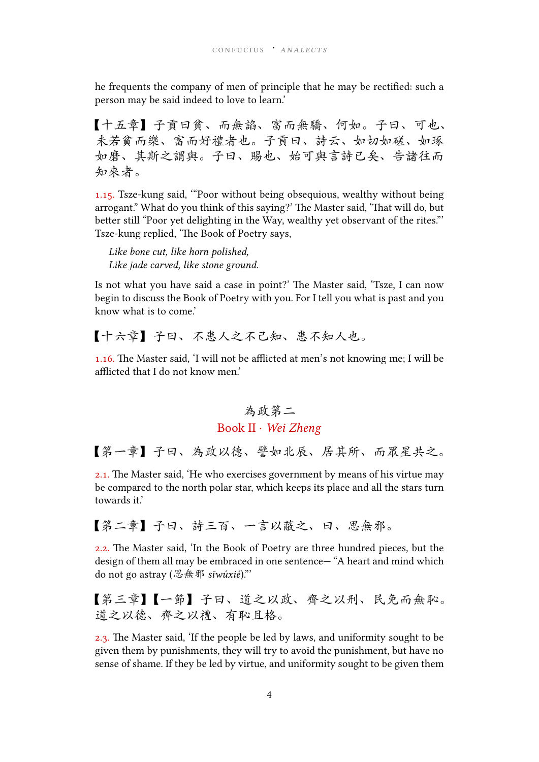he frequents the company of men of principle that he may be rectified: such a person may be said indeed to love to learn.'

【十五章】子貢曰貧、而無諂、富而無驕、何如。子曰、可也、 未若貧而樂、富而好禮者也。子貢曰、詩云、如切如磋、如琢 如磨、其斯之謂與。子曰、賜也、始可與言詩已矣、告諸往而 知來者。

.. Tsze-kung said, '"Poor without being obsequious, wealthy without being arrogant." What do you think of this saying?' The Master said, 'That will do, but better still "Poor yet delighting in the Way, wealthy yet observant of the rites." Tsze-kung replied, 'The Book of Poetry says,

*Like bone cut, like horn polished, Like jade carved, like stone ground.*

Is not what you have said a case in point?' The Master said, 'Tsze, I can now begin to discuss the Book of Poetry with you. For I tell you what is past and you know what is to come.'

【十六章】子曰、不患人之不己知、患不知人也。

1.16. The Master said, 'I will not be afflicted at men's not knowing me; I will be afflicted that I do not know men.'

## 為政第二 Book II · *Wei Zheng*

【第一章】子曰、為政以德、譬如北辰、居其所、而眾星共之。

2.1. The Master said, 'He who exercises government by means of his virtue may be compared to the north polar star, which keeps its place and all the stars turn towards it.'

【第二章】子曰、詩三百、一言以蔽之、曰、思無邪。

2.2. The Master said, 'In the Book of Poetry are three hundred pieces, but the design of them all may be embraced in one sentence— "A heart and mind which do not go astray (思無邪 *sīwúxié*)."'

【第三章】【一節】子曰、道之以政、齊之以刑、民免而無恥。 道之以德、齊之以禮、有恥且格。

2.3. The Master said, 'If the people be led by laws, and uniformity sought to be given them by punishments, they will try to avoid the punishment, but have no sense of shame. If they be led by virtue, and uniformity sought to be given them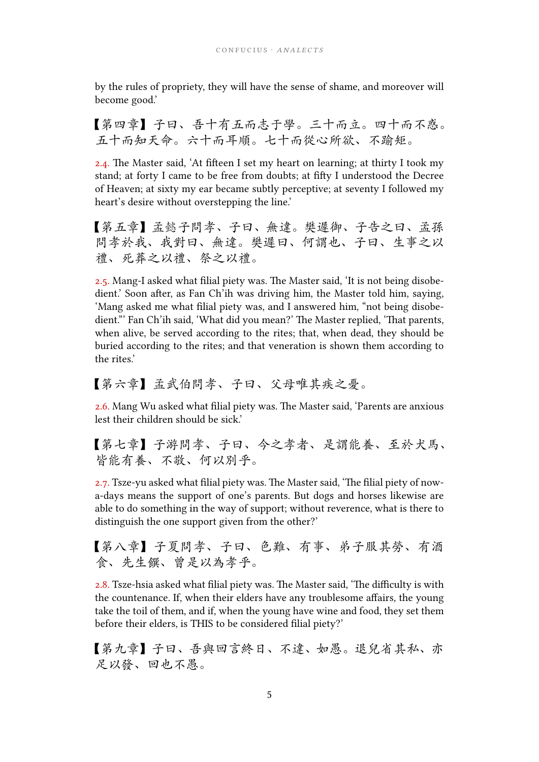by the rules of propriety, they will have the sense of shame, and moreover will become good.'

【第四章】子曰、吾十有五而志于學。三十而立。四十而不惑。 五十而知天命。六十而耳順。七十而從心所欲、不踰矩。

2.4. The Master said, 'At fifteen I set my heart on learning; at thirty I took my stand; at forty I came to be free from doubts; at fifty I understood the Decree of Heaven; at sixty my ear became subtly perceptive; at seventy I followed my heart's desire without overstepping the line.'

【第五章】孟懿子問孝、子曰、無違。樊遲御、子告之曰、孟孫 問孝於我、我對曰、無違。樊遲曰、何謂也、子曰、生事之以 禮、死葬之以禮、祭之以禮。

2.5. Mang-I asked what filial piety was. The Master said, 'It is not being disobedient.' Soon after, as Fan Ch'ih was driving him, the Master told him, saying, 'Mang asked me what filial piety was, and I answered him, "not being disobedient." Fan Ch'ih said, 'What did you mean?' The Master replied, 'That parents, when alive, be served according to the rites; that, when dead, they should be buried according to the rites; and that veneration is shown them according to the rites.'

【第六章】孟武伯問孝、子曰、父母唯其疾之憂。

2.6. Mang Wu asked what filial piety was. The Master said, 'Parents are anxious lest their children should be sick.'

【第七章】子游問孝、子曰、今之孝者、是謂能養、至於犬馬、 皆能有養、不敬、何以別乎。

2.7. Tsze-yu asked what filial piety was. The Master said, 'The filial piety of nowa-days means the support of one's parents. But dogs and horses likewise are able to do something in the way of support; without reverence, what is there to distinguish the one support given from the other?'

【第八章】子夏問孝、子曰、色難、有事、弟子服其勞、有酒 食、先生饌、曾是以為孝乎。

2.8. Tsze-hsia asked what filial piety was. The Master said, 'The difficulty is with the countenance. If, when their elders have any troublesome affairs, the young take the toil of them, and if, when the young have wine and food, they set them before their elders, is THIS to be considered filial piety?'

【第九章】子曰、吾與回言終日、不違、如愚。退兒省其私、亦 足以發、回也不愚。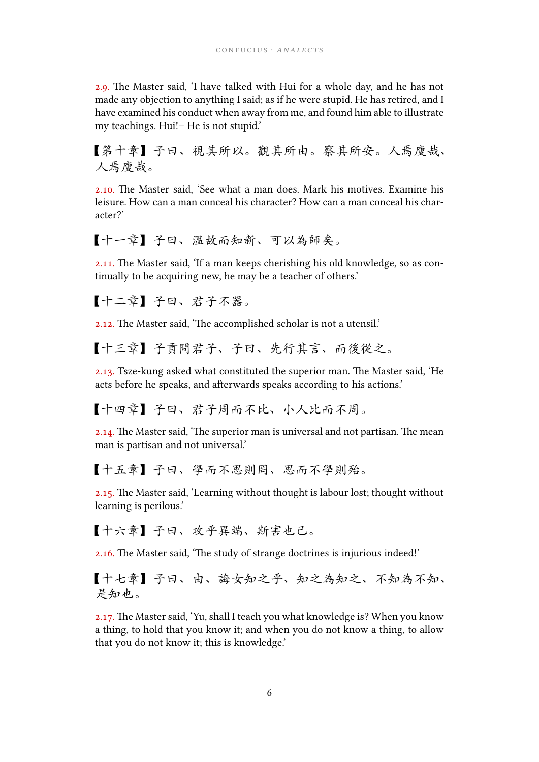2.9. The Master said, 'I have talked with Hui for a whole day, and he has not made any objection to anything I said; as if he were stupid. He has retired, and I have examined his conduct when away from me, and found him able to illustrate my teachings. Hui!– He is not stupid.'

【第十章】子曰、視其所以。觀其所由。察其所安。人焉廋哉、 人焉廋哉。

2.10. The Master said, 'See what a man does. Mark his motives. Examine his leisure. How can a man conceal his character? How can a man conceal his character?'

【十一章】子曰、溫故而知新、可以為師矣。

2.11. The Master said, 'If a man keeps cherishing his old knowledge, so as continually to be acquiring new, he may be a teacher of others.'

【十二章】子曰、君子不器。

2.12. The Master said, 'The accomplished scholar is not a utensil.'

【十三章】子貢問君子、子曰、先行其言、而後從之。

 $2.13$ . Tsze-kung asked what constituted the superior man. The Master said, 'He acts before he speaks, and afterwards speaks according to his actions.'

【十四章】子曰、君子周而不比、小人比而不周。

 $2.14$ . The Master said, 'The superior man is universal and not partisan. The mean man is partisan and not universal.'

【十五章】子曰、學而不思則罔、思而不學則殆。

 $2.15$ . The Master said, 'Learning without thought is labour lost; thought without learning is perilous.'

【十六章】子曰、攻乎異端、斯害也己。

2.16. The Master said, 'The study of strange doctrines is injurious indeed!'

【十七章】子曰、由、誨女知之乎、知之為知之、不知為不知、 是知也。

2.17. The Master said, 'Yu, shall I teach you what knowledge is? When you know a thing, to hold that you know it; and when you do not know a thing, to allow that you do not know it; this is knowledge.'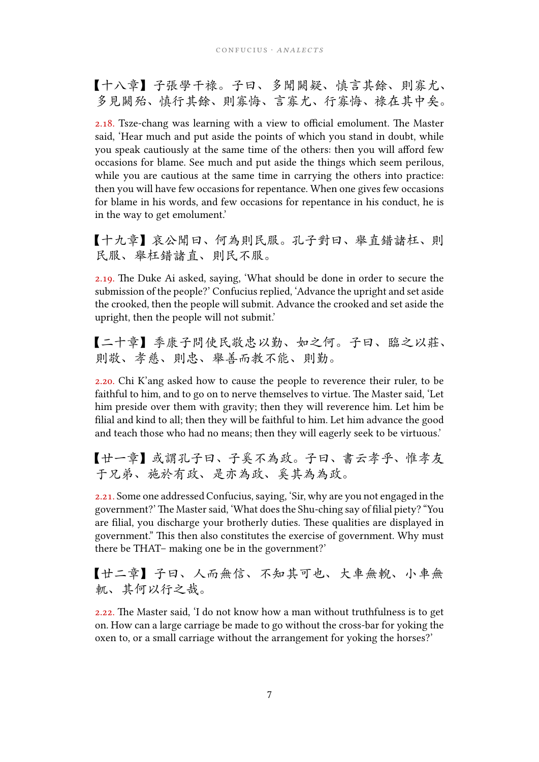【十八章】子張學干祿。子曰、多聞闕疑、慎言其餘、則寡尤、 多見闕殆、慎行其餘、則寡悔、言寡尤、行寡悔、祿在其中矣。

2.18. Tsze-chang was learning with a view to official emolument. The Master said, 'Hear much and put aside the points of which you stand in doubt, while you speak cautiously at the same time of the others: then you will afford few occasions for blame. See much and put aside the things which seem perilous, while you are cautious at the same time in carrying the others into practice: then you will have few occasions for repentance. When one gives few occasions for blame in his words, and few occasions for repentance in his conduct, he is in the way to get emolument.'

【十九章】哀公聞曰、何為則民服。孔子對曰、舉直錯諸枉、則 民服、舉枉錯諸直、則民不服。

2.19. The Duke Ai asked, saying, 'What should be done in order to secure the submission of the people?' Confucius replied, 'Advance the upright and set aside the crooked, then the people will submit. Advance the crooked and set aside the upright, then the people will not submit.'

【二十章】季康子問使民敬忠以勤、如之何。子曰、臨之以莊、 則敬、孝慈、則忠、舉善而教不能、則勤。

2.20. Chi K'ang asked how to cause the people to reverence their ruler, to be faithful to him, and to go on to nerve themselves to virtue. The Master said, 'Let him preside over them with gravity; then they will reverence him. Let him be filial and kind to all; then they will be faithful to him. Let him advance the good and teach those who had no means; then they will eagerly seek to be virtuous.'

【廿一章】或謂孔子曰、子奚不為政。子曰、書云孝乎、惟孝友 于兄弟、施於有政、是亦為政、奚其為為政。

2.21. Some one addressed Confucius, saying, 'Sir, why are you not engaged in the government?' The Master said, 'What does the Shu-ching say of filial piety? "You are filial, you discharge your brotherly duties. These qualities are displayed in government." This then also constitutes the exercise of government. Why must there be THAT– making one be in the government?'

【廿二章】子曰、人而無信、不知其可也、大車無輗、小車無 軏、其何以行之哉。

 $2.22$ . The Master said, 'I do not know how a man without truthfulness is to get on. How can a large carriage be made to go without the cross-bar for yoking the oxen to, or a small carriage without the arrangement for yoking the horses?'